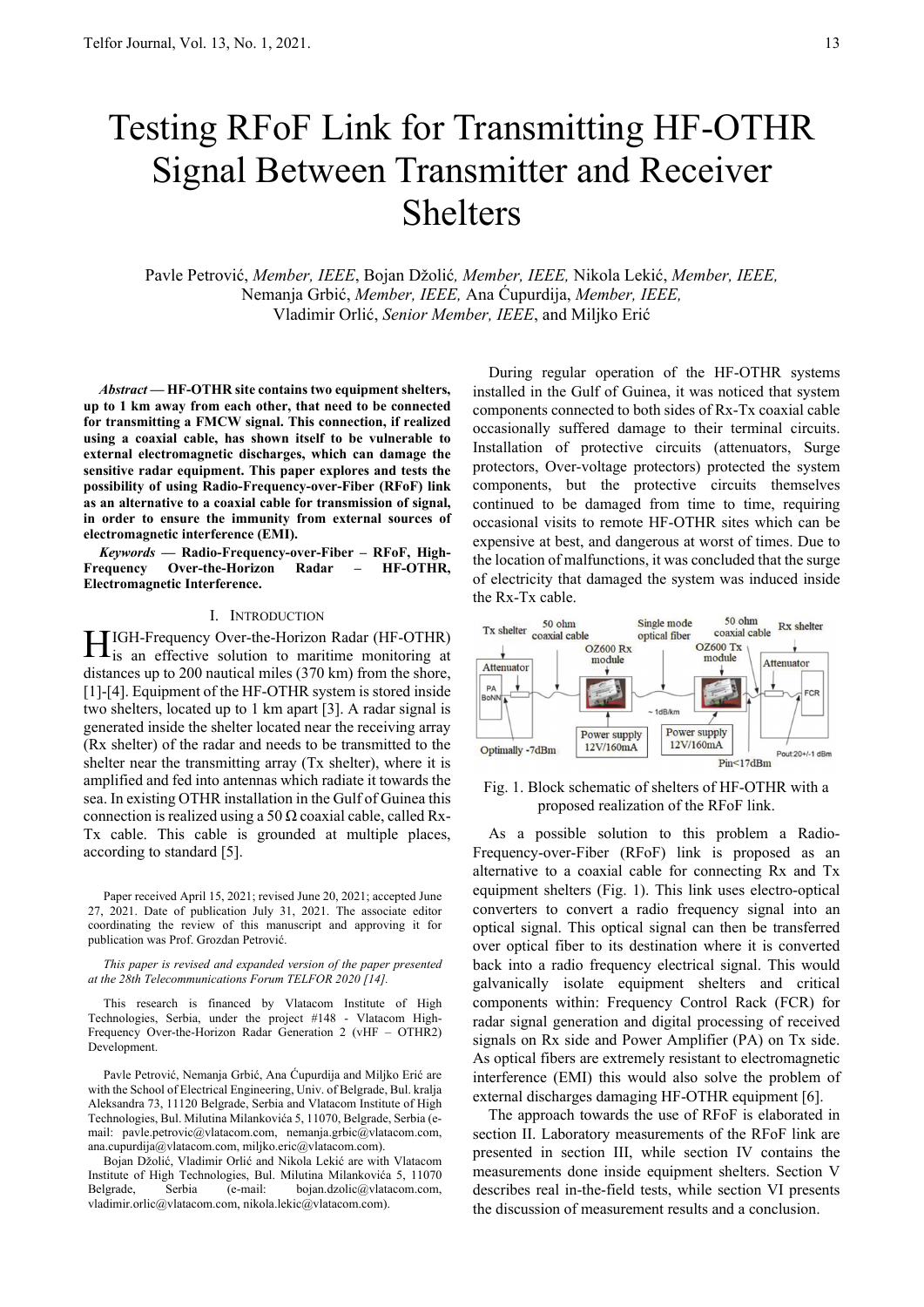# Testing RFoF Link for Transmitting HF-OTHR Signal Between Transmitter and Receiver Shelters

Pavle Petrović, *Member, IEEE*, Bojan Džolić*, Member, IEEE,* Nikola Lekić, *Member, IEEE,*  Nemanja Grbić, *Member, IEEE,* Ana Ćupurdija, *Member, IEEE,* Vladimir Orlić, *Senior Member, IEEE*, and Miljko Erić

*Abstract* **— HF-OTHR site contains two equipment shelters, up to 1 km away from each other, that need to be connected for transmitting a FMCW signal. This connection, if realized using a coaxial cable, has shown itself to be vulnerable to external electromagnetic discharges, which can damage the sensitive radar equipment. This paper explores and tests the possibility of using Radio-Frequency-over-Fiber (RFoF) link as an alternative to a coaxial cable for transmission of signal, in order to ensure the immunity from external sources of electromagnetic interference (EMI).** 

*Keywords* **— Radio-Frequency-over-Fiber – RFoF, High-Frequency Over-the-Horizon Radar – HF-OTHR, Electromagnetic Interference.** 

#### I. INTRODUCTION

IGH-Frequency Over-the-Horizon Radar (HF-OTHR) is an effective solution to maritime monitoring at distances up to 200 nautical miles (370 km) from the shore, [1]-[4]. Equipment of the HF-OTHR system is stored inside two shelters, located up to 1 km apart [3]. A radar signal is generated inside the shelter located near the receiving array (Rx shelter) of the radar and needs to be transmitted to the shelter near the transmitting array (Tx shelter), where it is amplified and fed into antennas which radiate it towards the sea. In existing OTHR installation in the Gulf of Guinea this connection is realized using a 50  $\Omega$  coaxial cable, called Rx-Tx cable. This cable is grounded at multiple places, according to standard [5].  $\bm{\Pi}$ 

Paper received April 15, 2021; revised June 20, 2021; accepted June 27, 2021. Date of publication July 31, 2021. The associate editor coordinating the review of this manuscript and approving it for publication was Prof. Grozdan Petrović.

*This paper is revised and expanded version of the paper presented at the 28th Telecommunications Forum TELFOR 2020 [14].*

This research is financed by Vlatacom Institute of High Technologies, Serbia, under the project #148 - Vlatacom High-Frequency Over-the-Horizon Radar Generation 2 (vHF – OTHR2) Development.

Pavle Petrović, Nemanja Grbić, Ana Ćupurdija and Miljko Erić are with the School of Electrical Engineering, Univ. of Belgrade, Bul. kralja Aleksandra 73, 11120 Belgrade, Serbia and Vlatacom Institute of High Technologies, Bul. Milutina Milankovića 5, 11070, Belgrade, Serbia (email: pavle.petrovic@vlatacom.com, nemanja.grbic@vlatacom.com, ana.cupurdija@vlatacom.com, miljko.eric@vlatacom.com).

Bojan Džolić, Vladimir Orlić and Nikola Lekić are with Vlatacom Institute of High Technologies, Bul. Milutina Milankovića 5, 11070 Belgrade, Serbia (e-mail: bojan.dzolic@vlatacom.com, vladimir.orlic@vlatacom.com, nikola.lekic@vlatacom.com).

During regular operation of the HF-OTHR systems installed in the Gulf of Guinea, it was noticed that system components connected to both sides of Rx-Tx coaxial cable occasionally suffered damage to their terminal circuits. Installation of protective circuits (attenuators, Surge protectors, Over-voltage protectors) protected the system components, but the protective circuits themselves continued to be damaged from time to time, requiring occasional visits to remote HF-OTHR sites which can be expensive at best, and dangerous at worst of times. Due to the location of malfunctions, it was concluded that the surge of electricity that damaged the system was induced inside the Rx-Tx cable.



Fig. 1. Block schematic of shelters of HF-OTHR with a proposed realization of the RFoF link.

As a possible solution to this problem a Radio-Frequency-over-Fiber (RFoF) link is proposed as an alternative to a coaxial cable for connecting Rx and Tx equipment shelters (Fig. 1). This link uses electro-optical converters to convert a radio frequency signal into an optical signal. This optical signal can then be transferred over optical fiber to its destination where it is converted back into a radio frequency electrical signal. This would galvanically isolate equipment shelters and critical components within: Frequency Control Rack (FCR) for radar signal generation and digital processing of received signals on Rx side and Power Amplifier (PA) on Tx side. As optical fibers are extremely resistant to electromagnetic interference (EMI) this would also solve the problem of external discharges damaging HF-OTHR equipment [6].

The approach towards the use of RFoF is elaborated in section II. Laboratory measurements of the RFoF link are presented in section III, while section IV contains the measurements done inside equipment shelters. Section V describes real in-the-field tests, while section VI presents the discussion of measurement results and a conclusion.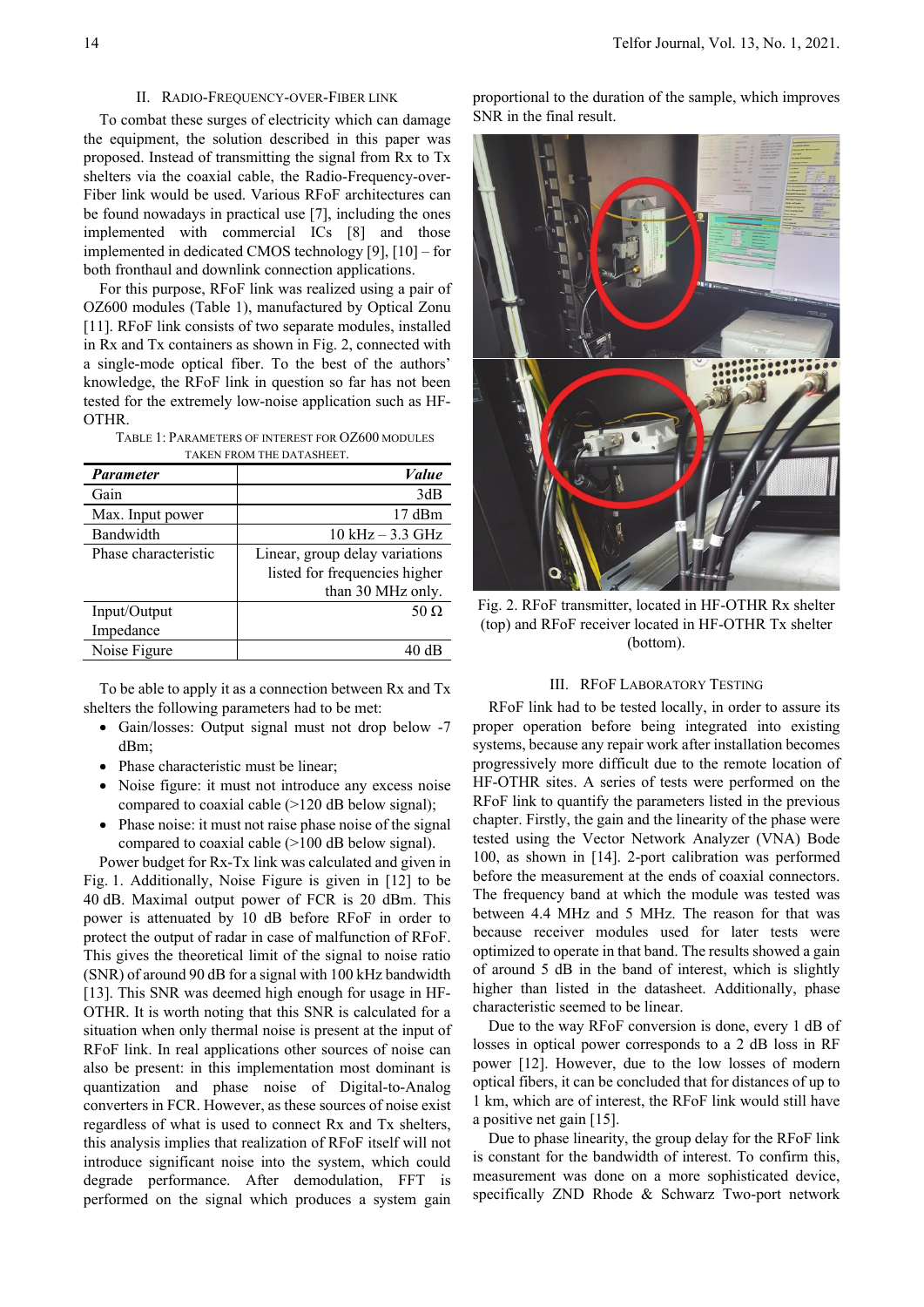### II. RADIO-FREQUENCY-OVER-FIBER LINK

To combat these surges of electricity which can damage the equipment, the solution described in this paper was proposed. Instead of transmitting the signal from Rx to Tx shelters via the coaxial cable, the Radio-Frequency-over-Fiber link would be used. Various RFoF architectures can be found nowadays in practical use [7], including the ones implemented with commercial ICs [8] and those implemented in dedicated CMOS technology [9], [10] – for both fronthaul and downlink connection applications.

For this purpose, RFoF link was realized using a pair of OZ600 modules (Table 1), manufactured by Optical Zonu [11]. RFoF link consists of two separate modules, installed in Rx and Tx containers as shown in Fig. 2, connected with a single-mode optical fiber. To the best of the authors' knowledge, the RFoF link in question so far has not been tested for the extremely low-noise application such as HF-OTHR.

TABLE 1: PARAMETERS OF INTEREST FOR OZ600 MODULES TAKEN FROM THE DATASHEET.

| TROM THE DATABILET.  |                                |
|----------------------|--------------------------------|
| <b>Parameter</b>     | Value                          |
| Gain                 | 3dB                            |
| Max. Input power     | $17 \text{ dBm}$               |
| Bandwidth            | $10$ kHz $-3.3$ GHz            |
| Phase characteristic | Linear, group delay variations |
|                      | listed for frequencies higher  |
|                      | than 30 MHz only.              |
| Input/Output         | 50 $\Omega$                    |
| Impedance            |                                |
| Noise Figure         |                                |

To be able to apply it as a connection between Rx and Tx shelters the following parameters had to be met:

- Gain/losses: Output signal must not drop below -7 dBm;
- Phase characteristic must be linear;
- Noise figure: it must not introduce any excess noise compared to coaxial cable (>120 dB below signal);
- Phase noise: it must not raise phase noise of the signal compared to coaxial cable (>100 dB below signal).

Power budget for Rx-Tx link was calculated and given in Fig. 1. Additionally, Noise Figure is given in [12] to be 40 dB. Maximal output power of FCR is 20 dBm. This power is attenuated by 10 dB before RFoF in order to protect the output of radar in case of malfunction of RFoF. This gives the theoretical limit of the signal to noise ratio (SNR) of around 90 dB for a signal with 100 kHz bandwidth [13]. This SNR was deemed high enough for usage in HF-OTHR. It is worth noting that this SNR is calculated for a situation when only thermal noise is present at the input of RFoF link. In real applications other sources of noise can also be present: in this implementation most dominant is quantization and phase noise of Digital-to-Analog converters in FCR. However, as these sources of noise exist regardless of what is used to connect Rx and Tx shelters, this analysis implies that realization of RFoF itself will not introduce significant noise into the system, which could degrade performance. After demodulation, FFT is performed on the signal which produces a system gain proportional to the duration of the sample, which improves SNR in the final result.



Fig. 2. RFoF transmitter, located in HF-OTHR Rx shelter (top) and RFoF receiver located in HF-OTHR Tx shelter (bottom).

## III. RFOF LABORATORY TESTING

RFoF link had to be tested locally, in order to assure its proper operation before being integrated into existing systems, because any repair work after installation becomes progressively more difficult due to the remote location of HF-OTHR sites. A series of tests were performed on the RFoF link to quantify the parameters listed in the previous chapter. Firstly, the gain and the linearity of the phase were tested using the Vector Network Analyzer (VNA) Bode 100, as shown in [14]. 2-port calibration was performed before the measurement at the ends of coaxial connectors. The frequency band at which the module was tested was between 4.4 MHz and 5 MHz. The reason for that was because receiver modules used for later tests were optimized to operate in that band. The results showed a gain of around 5 dB in the band of interest, which is slightly higher than listed in the datasheet. Additionally, phase characteristic seemed to be linear.

Due to the way RFoF conversion is done, every 1 dB of losses in optical power corresponds to a 2 dB loss in RF power [12]. However, due to the low losses of modern optical fibers, it can be concluded that for distances of up to 1 km, which are of interest, the RFoF link would still have a positive net gain [15].

Due to phase linearity, the group delay for the RFoF link is constant for the bandwidth of interest. To confirm this, measurement was done on a more sophisticated device, specifically ZND Rhode & Schwarz Two-port network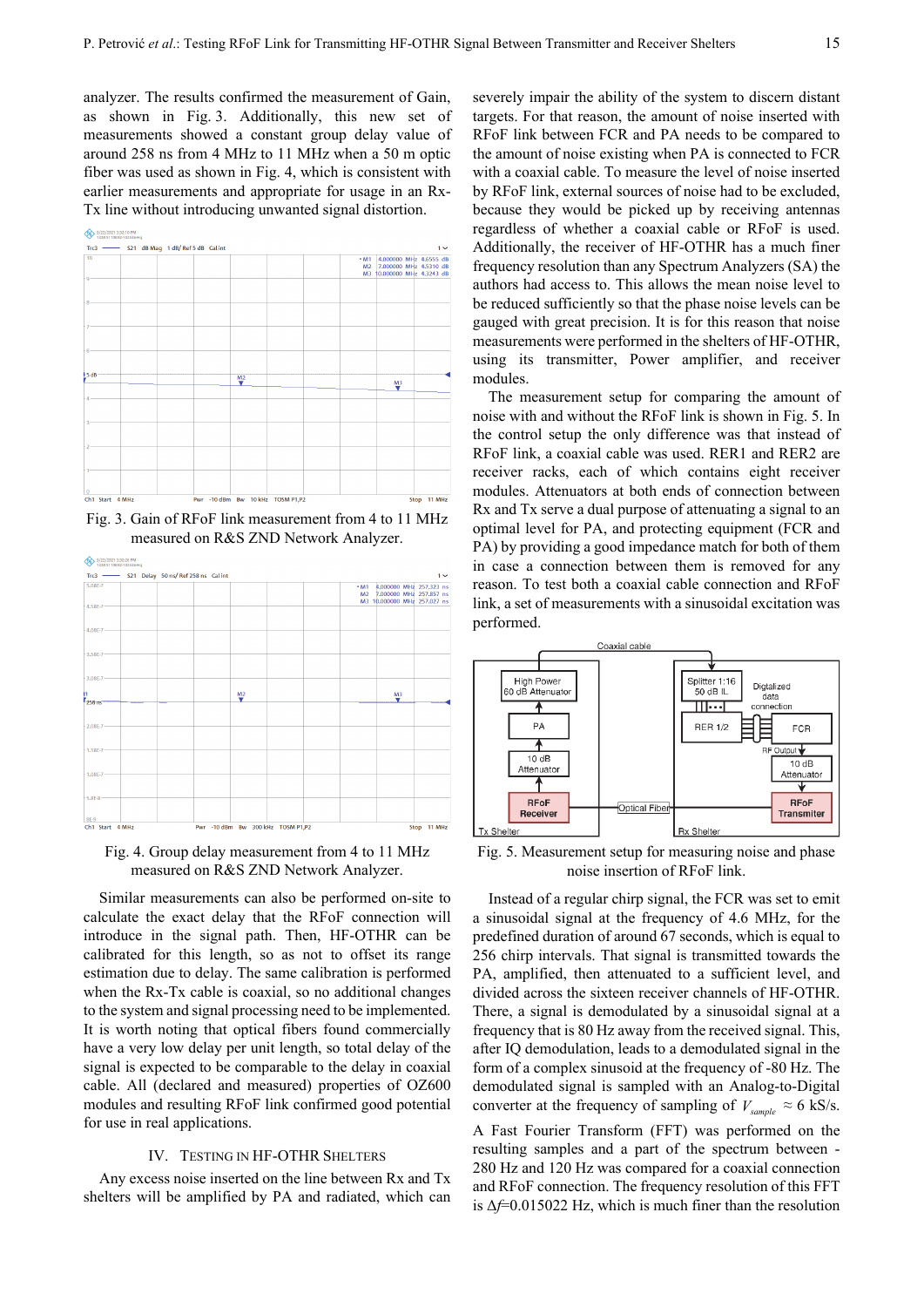analyzer. The results confirmed the measurement of Gain, as shown in Fig. 3. Additionally, this new set of measurements showed a constant group delay value of around 258 ns from 4 MHz to 11 MHz when a 50 m optic fiber was used as shown in Fig. 4, which is consistent with earlier measurements and appropriate for usage in an Rx-Tx line without introducing unwanted signal distortion.





Fig. 3. Gain of RFoF link measurement from 4 to 11 MHz measured on R&S ZND Network Analyzer.



Fig. 4. Group delay measurement from 4 to 11 MHz measured on R&S ZND Network Analyzer.

Similar measurements can also be performed on-site to calculate the exact delay that the RFoF connection will introduce in the signal path. Then, HF-OTHR can be calibrated for this length, so as not to offset its range estimation due to delay. The same calibration is performed when the Rx-Tx cable is coaxial, so no additional changes to the system and signal processing need to be implemented. It is worth noting that optical fibers found commercially have a very low delay per unit length, so total delay of the signal is expected to be comparable to the delay in coaxial cable. All (declared and measured) properties of OZ600 modules and resulting RFoF link confirmed good potential for use in real applications.

## IV. TESTING IN HF-OTHR SHELTERS

Any excess noise inserted on the line between Rx and Tx shelters will be amplified by PA and radiated, which can

severely impair the ability of the system to discern distant targets. For that reason, the amount of noise inserted with RFoF link between FCR and PA needs to be compared to the amount of noise existing when PA is connected to FCR with a coaxial cable. To measure the level of noise inserted by RFoF link, external sources of noise had to be excluded, because they would be picked up by receiving antennas regardless of whether a coaxial cable or RFoF is used. Additionally, the receiver of HF-OTHR has a much finer frequency resolution than any Spectrum Analyzers (SA) the authors had access to. This allows the mean noise level to be reduced sufficiently so that the phase noise levels can be gauged with great precision. It is for this reason that noise measurements were performed in the shelters of HF-OTHR, using its transmitter, Power amplifier, and receiver modules.

The measurement setup for comparing the amount of noise with and without the RFoF link is shown in Fig. 5. In the control setup the only difference was that instead of RFoF link, a coaxial cable was used. RER1 and RER2 are receiver racks, each of which contains eight receiver modules. Attenuators at both ends of connection between Rx and Tx serve a dual purpose of attenuating a signal to an optimal level for PA, and protecting equipment (FCR and PA) by providing a good impedance match for both of them in case a connection between them is removed for any reason. To test both a coaxial cable connection and RFoF link, a set of measurements with a sinusoidal excitation was performed.



Fig. 5. Measurement setup for measuring noise and phase noise insertion of RFoF link.

Instead of a regular chirp signal, the FCR was set to emit a sinusoidal signal at the frequency of 4.6 MHz, for the predefined duration of around 67 seconds, which is equal to 256 chirp intervals. That signal is transmitted towards the PA, amplified, then attenuated to a sufficient level, and divided across the sixteen receiver channels of HF-OTHR. There, a signal is demodulated by a sinusoidal signal at a frequency that is 80 Hz away from the received signal. This, after IQ demodulation, leads to a demodulated signal in the form of a complex sinusoid at the frequency of -80 Hz. The demodulated signal is sampled with an Analog-to-Digital converter at the frequency of sampling of  $V_{sample} \approx 6$  kS/s.

A Fast Fourier Transform (FFT) was performed on the resulting samples and a part of the spectrum between - 280 Hz and 120 Hz was compared for a coaxial connection and RFoF connection. The frequency resolution of this FFT is Δ*f*=0.015022 Hz, which is much finer than the resolution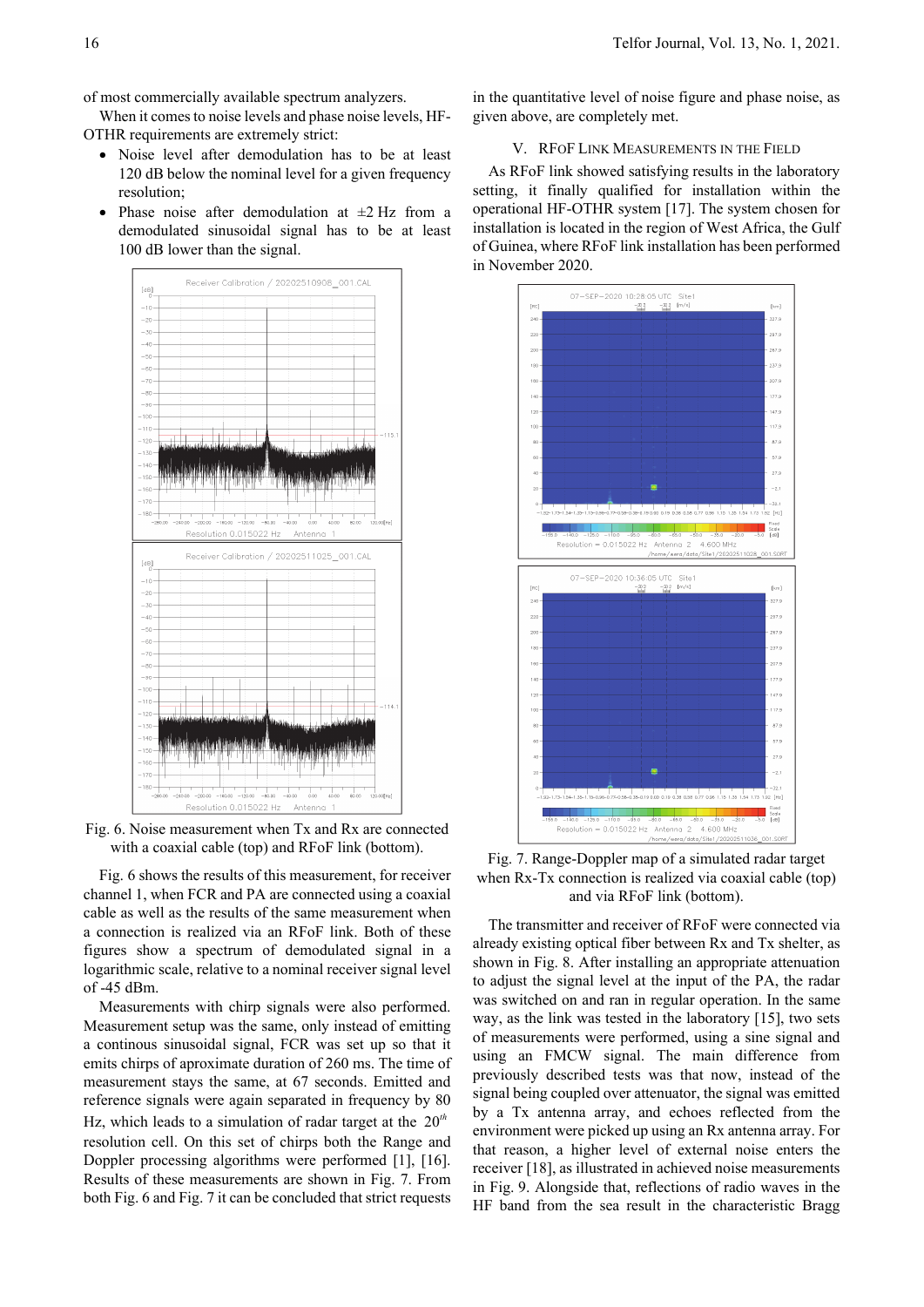of most commercially available spectrum analyzers.

When it comes to noise levels and phase noise levels, HF-OTHR requirements are extremely strict:

- Noise level after demodulation has to be at least 120 dB below the nominal level for a given frequency resolution;
- Phase noise after demodulation at  $\pm 2$  Hz from a demodulated sinusoidal signal has to be at least 100 dB lower than the signal.



Fig. 6. Noise measurement when Tx and Rx are connected with a coaxial cable (top) and RFoF link (bottom).

Fig. 6 shows the results of this measurement, for receiver channel 1, when FCR and PA are connected using a coaxial cable as well as the results of the same measurement when a connection is realized via an RFoF link. Both of these figures show a spectrum of demodulated signal in a logarithmic scale, relative to a nominal receiver signal level of -45 dBm.

Measurements with chirp signals were also performed. Measurement setup was the same, only instead of emitting a continous sinusoidal signal, FCR was set up so that it emits chirps of aproximate duration of 260 ms. The time of measurement stays the same, at 67 seconds. Emitted and reference signals were again separated in frequency by 80 Hz, which leads to a simulation of radar target at the 20*th* resolution cell. On this set of chirps both the Range and Doppler processing algorithms were performed [1], [16]. Results of these measurements are shown in Fig. 7. From both Fig. 6 and Fig. 7 it can be concluded that strict requests in the quantitative level of noise figure and phase noise, as given above, are completely met.

## V. RFOF LINK MEASUREMENTS IN THE FIELD

As RFoF link showed satisfying results in the laboratory setting, it finally qualified for installation within the operational HF-OTHR system [17]. The system chosen for installation is located in the region of West Africa, the Gulf of Guinea, where RFoF link installation has been performed in November 2020.



Fig. 7. Range-Doppler map of a simulated radar target when Rx-Tx connection is realized via coaxial cable (top) and via RFoF link (bottom).

The transmitter and receiver of RFoF were connected via already existing optical fiber between Rx and Tx shelter, as shown in Fig. 8. After installing an appropriate attenuation to adjust the signal level at the input of the PA, the radar was switched on and ran in regular operation. In the same way, as the link was tested in the laboratory [15], two sets of measurements were performed, using a sine signal and using an FMCW signal. The main difference from previously described tests was that now, instead of the signal being coupled over attenuator, the signal was emitted by a Tx antenna array, and echoes reflected from the environment were picked up using an Rx antenna array. For that reason, a higher level of external noise enters the receiver [18], as illustrated in achieved noise measurements in Fig. 9. Alongside that, reflections of radio waves in the HF band from the sea result in the characteristic Bragg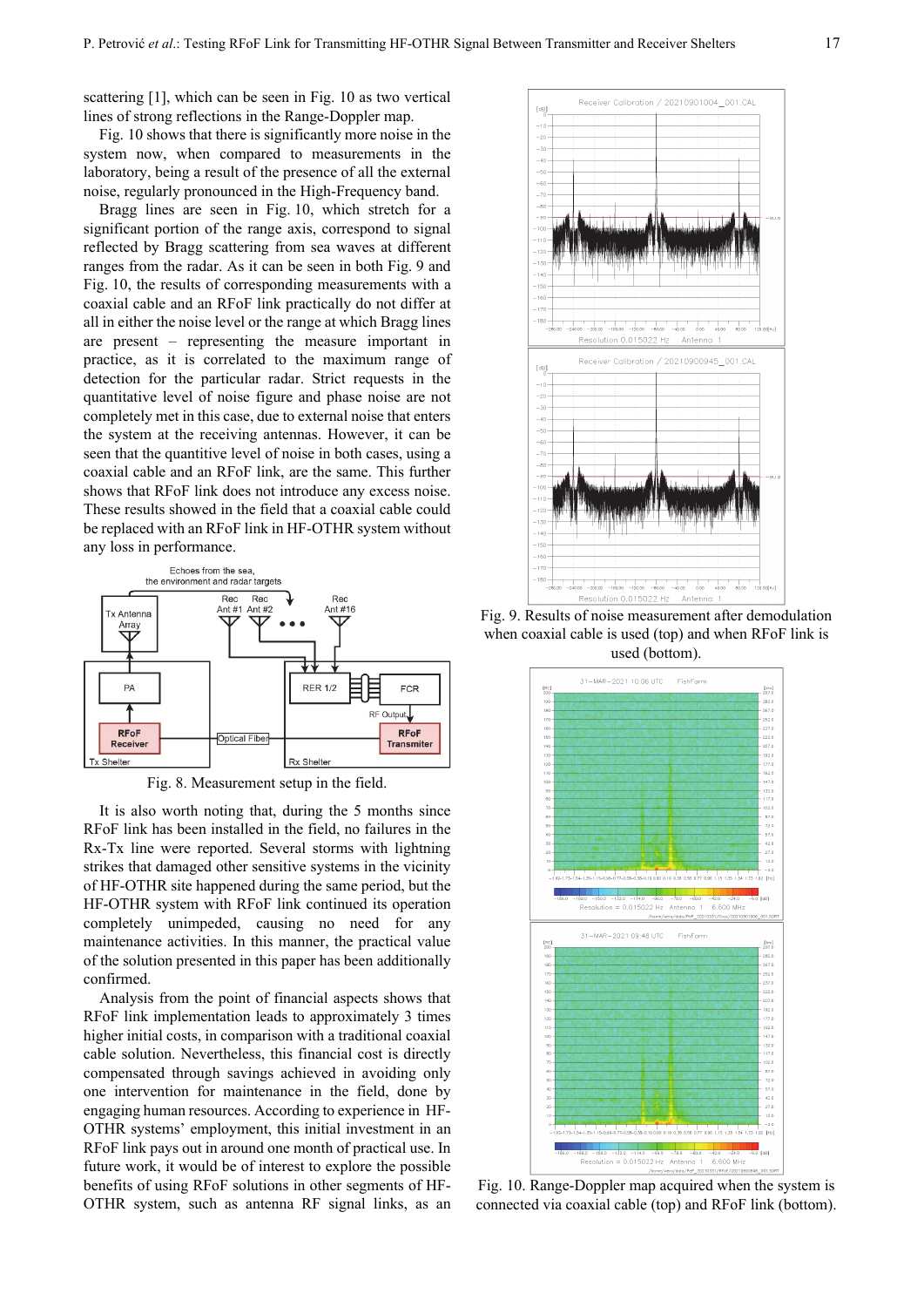scattering [1], which can be seen in Fig. 10 as two vertical lines of strong reflections in the Range-Doppler map.

Fig. 10 shows that there is significantly more noise in the system now, when compared to measurements in the laboratory, being a result of the presence of all the external noise, regularly pronounced in the High-Frequency band.

Bragg lines are seen in Fig. 10, which stretch for a significant portion of the range axis, correspond to signal reflected by Bragg scattering from sea waves at different ranges from the radar. As it can be seen in both Fig. 9 and Fig. 10, the results of corresponding measurements with a coaxial cable and an RFoF link practically do not differ at all in either the noise level or the range at which Bragg lines are present – representing the measure important in practice, as it is correlated to the maximum range of detection for the particular radar. Strict requests in the quantitative level of noise figure and phase noise are not completely met in this case, due to external noise that enters the system at the receiving antennas. However, it can be seen that the quantitive level of noise in both cases, using a coaxial cable and an RFoF link, are the same. This further shows that RFoF link does not introduce any excess noise. These results showed in the field that a coaxial cable could be replaced with an RFoF link in HF-OTHR system without any loss in performance.



Fig. 8. Measurement setup in the field.

It is also worth noting that, during the 5 months since RFoF link has been installed in the field, no failures in the Rx-Tx line were reported. Several storms with lightning strikes that damaged other sensitive systems in the vicinity of HF-OTHR site happened during the same period, but the HF-OTHR system with RFoF link continued its operation completely unimpeded, causing no need for any maintenance activities. In this manner, the practical value of the solution presented in this paper has been additionally confirmed.

Analysis from the point of financial aspects shows that RFoF link implementation leads to approximately 3 times higher initial costs, in comparison with a traditional coaxial cable solution. Nevertheless, this financial cost is directly compensated through savings achieved in avoiding only one intervention for maintenance in the field, done by engaging human resources. According to experience in HF-OTHR systems' employment, this initial investment in an RFoF link pays out in around one month of practical use. In future work, it would be of interest to explore the possible benefits of using RFoF solutions in other segments of HF-OTHR system, such as antenna RF signal links, as an



Fig. 9. Results of noise measurement after demodulation when coaxial cable is used (top) and when RFoF link is used (bottom).



Fig. 10. Range-Doppler map acquired when the system is connected via coaxial cable (top) and RFoF link (bottom).